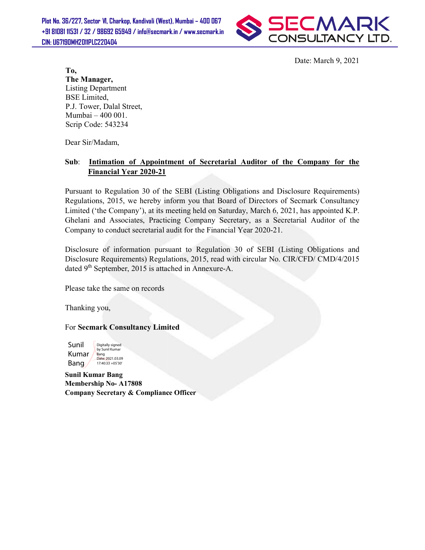Plot No. 36/227, Sector VI, Charkop, Kandivali (West), Mumbai – 400 067 +91 81081 11531 / 32 / 98692 65949 / info@secmark.in / www.secmark.in / CIN: U67190MH2011PLC220404



Date: March 9, 2021

To, The Manager, Listing Department BSE Limited, P.J. Tower, Dalal Street, Mumbai – 400 001. Scrip Code: 543234

Dear Sir/Madam,

## Sub: Intimation of Appointment of Secretarial Auditor of the Company for the Financial Year 2020-21

Pursuant to Regulation 30 of the SEBI (Listing Obligations and Disclosure Requirements) Regulations, 2015, we hereby inform you that Board of Directors of Secmark Consultancy Limited ('the Company'), at its meeting held on Saturday, March 6, 2021, has appointed K.P. Ghelani and Associates, Practicing Company Secretary, as a Secretarial Auditor of the Company to conduct secretarial audit for the Financial Year 2020-21. of the SEBI (Listing Obligations and Disclosure Requirements)<br>by inform you that Board of Directors of Secmark Consultancy<br>t its meeting held on Saturday, March 6, 2021, has appointed K.P. To,<br>
Date: March 9, 2021<br>
The Manager,<br>
Listing Department<br>
ESE Limited,<br>
BSE Limited,<br>
Secretarial Street,<br>
Numbai – 400 001.<br>
Serip Code: 543234<br>
Dear Sir/Madam,<br>
Sub: Intimation of Appointment of Secretarial Auditor of

Disclosure of information pursuant to Regulation 30 of SEBI (Listing Obligations and Disclosure Requirements) Regulations, 2015, read with circular No. CIR/CFD/ CMD/4/2015 dated  $9<sup>th</sup>$  September, 2015 is attached in Annexure-A. information pursuant to Regulation 30 of SEBI (Listing Ob uirements) Regulations, 2015, read with circular No. CIR/CFD/ nber, 2015 is attached in Annexure-A.

Please take the same on records

Thanking you,

For Secmark Consultancy Limited



Sunil Kumar Bang Membership No- A17808 Company Secretary & Compliance Officer